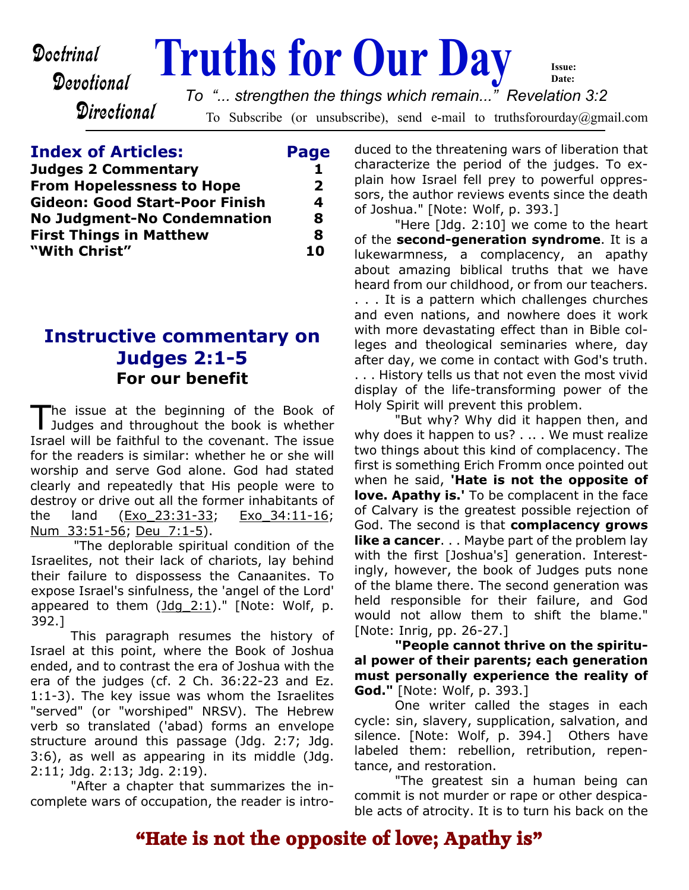Devotional

**Directional** 

# **Doctrinal Truths for Our Day**

To Subscribe (or unsubscribe), send e-mail to truthsforourday@gmail.com *To "... strengthen the things which remain..." Revelation 3:2*

**Index of Articles: Page Judges 2 Commentary 1 From Hopelessness to Hope 2 Gideon: Good Start-Poor Finish 4 No Judgment-No Condemnation 8 First Things in Matthew 8 "With Christ" 10**

## **Instructive commentary on Judges 2:1-5 For our benefit**

The issue at the beginning of the Book of<br>Judges and throughout the book is whether he issue at the beginning of the Book of Israel will be faithful to the covenant. The issue for the readers is similar: whether he or she will worship and serve God alone. God had stated clearly and repeatedly that His people were to destroy or drive out all the former inhabitants of the land (Exo\_23:31-33; Exo\_34:11-16; Num\_33:51-56; Deu\_7:1-5).

"The deplorable spiritual condition of the Israelites, not their lack of chariots, lay behind their failure to dispossess the Canaanites. To expose Israel's sinfulness, the 'angel of the Lord' appeared to them  $(\text{Jdq } 2:1)$ ." [Note: Wolf, p. 392.]

This paragraph resumes the history of Israel at this point, where the Book of Joshua ended, and to contrast the era of Joshua with the era of the judges (cf. 2 Ch. 36:22-23 and Ez. 1:1-3). The key issue was whom the Israelites "served" (or "worshiped" NRSV). The Hebrew verb so translated ('abad) forms an envelope structure around this passage (Jdg. 2:7; Jdg. 3:6), as well as appearing in its middle (Jdg. 2:11; Jdg. 2:13; Jdg. 2:19).

"After a chapter that summarizes the incomplete wars of occupation, the reader is introduced to the threatening wars of liberation that characterize the period of the judges. To explain how Israel fell prey to powerful oppressors, the author reviews events since the death of Joshua." [Note: Wolf, p. 393.]

**Issue: Date:**

"Here [Jdg. 2:10] we come to the heart of the **second-generation syndrome**. It is a lukewarmness, a complacency, an apathy about amazing biblical truths that we have heard from our childhood, or from our teachers. . . . It is a pattern which challenges churches and even nations, and nowhere does it work with more devastating effect than in Bible colleges and theological seminaries where, day after day, we come in contact with God's truth. . . . History tells us that not even the most vivid display of the life-transforming power of the Holy Spirit will prevent this problem.

"But why? Why did it happen then, and why does it happen to us? . .. . We must realize two things about this kind of complacency. The first is something Erich Fromm once pointed out when he said, **'Hate is not the opposite of love. Apathy is.'** To be complacent in the face of Calvary is the greatest possible rejection of God. The second is that **complacency grows like a cancer.** . . Maybe part of the problem lay with the first [Joshua's] generation. Interestingly, however, the book of Judges puts none of the blame there. The second generation was held responsible for their failure, and God would not allow them to shift the blame." [Note: Inrig, pp. 26-27.]

**"People cannot thrive on the spiritual power of their parents; each generation must personally experience the reality of God."** [Note: Wolf, p. 393.]

One writer called the stages in each cycle: sin, slavery, supplication, salvation, and silence. [Note: Wolf, p. 394.] Others have labeled them: rebellion, retribution, repentance, and restoration.

"The greatest sin a human being can commit is not murder or rape or other despicable acts of atrocity. It is to turn his back on the

# **"Hate is not the opposite of love; Apathy is"**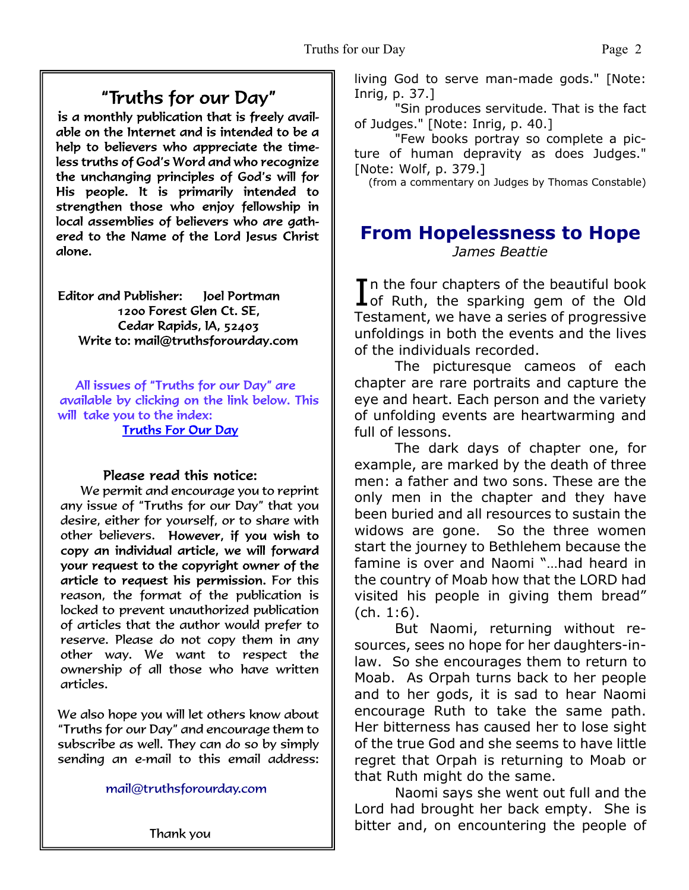# "Truths for our Day"

is a monthly publication that is freely available on the Internet and is intended to be a help to believers who appreciate the timeless truths of God's Word and who recognize the unchanging principles of God's will for His people. It is primarily intended to strengthen those who enjoy fellowship in local assemblies of believers who are gathered to the Name of the Lord Jesus Christ alone.

Editor and Publisher: loel Portman 1200 Forest Glen Ct. SE. Cedar Rapids, IA, 52403 Write to: mail@truthsforourday.com

All issues of "Truths for our Day" are available by clicking on the link below. This will take you to the index: **Truths For Our Day** 

### Please read this notice:

We permit and encourage you to reprint any issue of "Truths for our Day" that you desire, either for yourself, or to share with other believers. However, if you wish to<br>copy an individual article, we will forward your request to the copyright owner of the article to request his permission. For this reason, the format of the publication is locked to prevent unauthorized publication of articles that the author would prefer to reserve. Please do not copy them in any other way. We want to respect the ownership of all those who have written articles.

 We also hope you will let others know about "Truths for our Day" and encourage them to subscribe as well. They can do so by simply sending an e-mail to this email address:

mail@truthsforourday.com

living God to serve man-made gods." [Note: Inrig, p. 37.]

"Sin produces servitude. That is the fact of Judges." [Note: Inrig, p. 40.]

"Few books portray so complete a picture of human depravity as does Judges." [Note: Wolf, p. 379.]

(from a commentary on Judges by Thomas Constable)

## **From Hopelessness to Hope** *James Beattie*

In the four chapters of the beautiful book<br>
of Ruth, the sparking gem of the Old **T** n the four chapters of the beautiful book Testament, we have a series of progressive unfoldings in both the events and the lives of the individuals recorded.

 The picturesque cameos of each chapter are rare portraits and capture the eye and heart. Each person and the variety of unfolding events are heartwarming and full of lessons.

 The dark days of chapter one, for example, are marked by the death of three men: a father and two sons. These are the only men in the chapter and they have been buried and all resources to sustain the widows are gone. So the three women start the journey to Bethlehem because the famine is over and Naomi "…had heard in the country of Moab how that the LORD had visited his people in giving them bread" (ch. 1:6).

 But Naomi, returning without resources, sees no hope for her daughters-inlaw. So she encourages them to return to Moab. As Orpah turns back to her people and to her gods, it is sad to hear Naomi encourage Ruth to take the same path. Her bitterness has caused her to lose sight of the true God and she seems to have little regret that Orpah is returning to Moab or that Ruth might do the same.

 Naomi says she went out full and the Lord had brought her back empty. She is bitter and, on encountering the people of

Thank you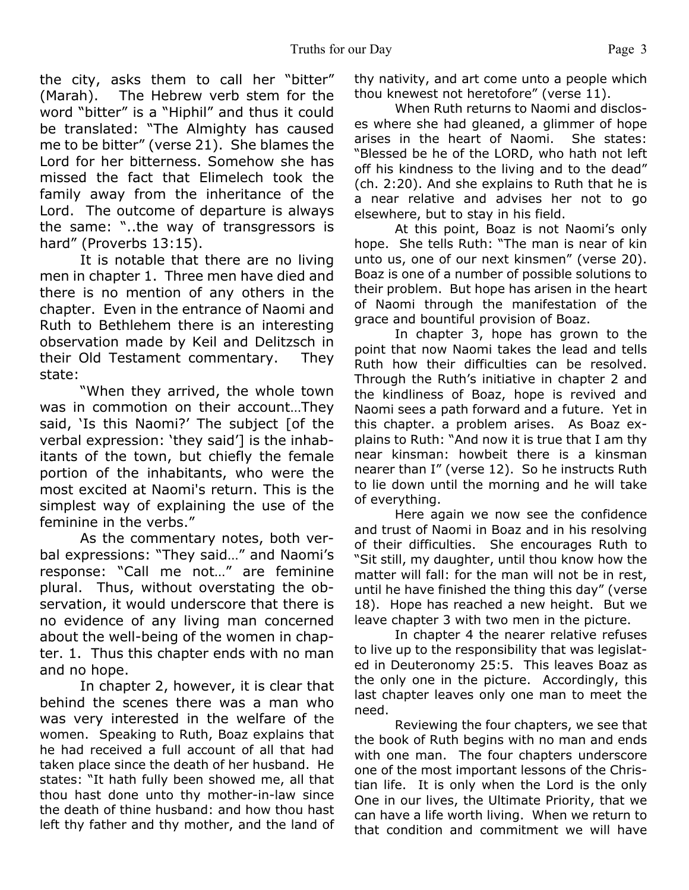the city, asks them to call her "bitter" (Marah). The Hebrew verb stem for the word "bitter" is a "Hiphil" and thus it could be translated: "The Almighty has caused me to be bitter" (verse 21). She blames the Lord for her bitterness. Somehow she has missed the fact that Elimelech took the family away from the inheritance of the Lord. The outcome of departure is always the same: "..the way of transgressors is hard" (Proverbs 13:15).

 It is notable that there are no living men in chapter 1. Three men have died and there is no mention of any others in the chapter. Even in the entrance of Naomi and Ruth to Bethlehem there is an interesting observation made by Keil and Delitzsch in their Old Testament commentary. They state:

"When they arrived, the whole town was in commotion on their account…They said, 'Is this Naomi?' The subject [of the verbal expression: 'they said'] is the inhabitants of the town, but chiefly the female portion of the inhabitants, who were the most excited at Naomi's return. This is the simplest way of explaining the use of the feminine in the verbs."

 As the commentary notes, both verbal expressions: "They said…" and Naomi's response: "Call me not…" are feminine plural. Thus, without overstating the observation, it would underscore that there is no evidence of any living man concerned about the well-being of the women in chapter. 1. Thus this chapter ends with no man and no hope.

 In chapter 2, however, it is clear that behind the scenes there was a man who was very interested in the welfare of the women. Speaking to Ruth, Boaz explains that he had received a full account of all that had taken place since the death of her husband. He states: "It hath fully been showed me, all that thou hast done unto thy mother-in-law since the death of thine husband: and how thou hast left thy father and thy mother, and the land of thy nativity, and art come unto a people which thou knewest not heretofore" (verse 11).

 When Ruth returns to Naomi and discloses where she had gleaned, a glimmer of hope arises in the heart of Naomi. She states: "Blessed be he of the LORD, who hath not left off his kindness to the living and to the dead" (ch. 2:20). And she explains to Ruth that he is a near relative and advises her not to go elsewhere, but to stay in his field.

 At this point, Boaz is not Naomi's only hope. She tells Ruth: "The man is near of kin unto us, one of our next kinsmen" (verse 20). Boaz is one of a number of possible solutions to their problem. But hope has arisen in the heart of Naomi through the manifestation of the grace and bountiful provision of Boaz.

 In chapter 3, hope has grown to the point that now Naomi takes the lead and tells Ruth how their difficulties can be resolved. Through the Ruth's initiative in chapter 2 and the kindliness of Boaz, hope is revived and Naomi sees a path forward and a future. Yet in this chapter. a problem arises. As Boaz explains to Ruth: "And now it is true that I am thy near kinsman: howbeit there is a kinsman nearer than I" (verse 12). So he instructs Ruth to lie down until the morning and he will take of everything.

 Here again we now see the confidence and trust of Naomi in Boaz and in his resolving of their difficulties. She encourages Ruth to "Sit still, my daughter, until thou know how the matter will fall: for the man will not be in rest, until he have finished the thing this day" (verse 18). Hope has reached a new height. But we leave chapter 3 with two men in the picture.

 In chapter 4 the nearer relative refuses to live up to the responsibility that was legislated in Deuteronomy 25:5. This leaves Boaz as the only one in the picture. Accordingly, this last chapter leaves only one man to meet the need.

 Reviewing the four chapters, we see that the book of Ruth begins with no man and ends with one man. The four chapters underscore one of the most important lessons of the Christian life. It is only when the Lord is the only One in our lives, the Ultimate Priority, that we can have a life worth living. When we return to that condition and commitment we will have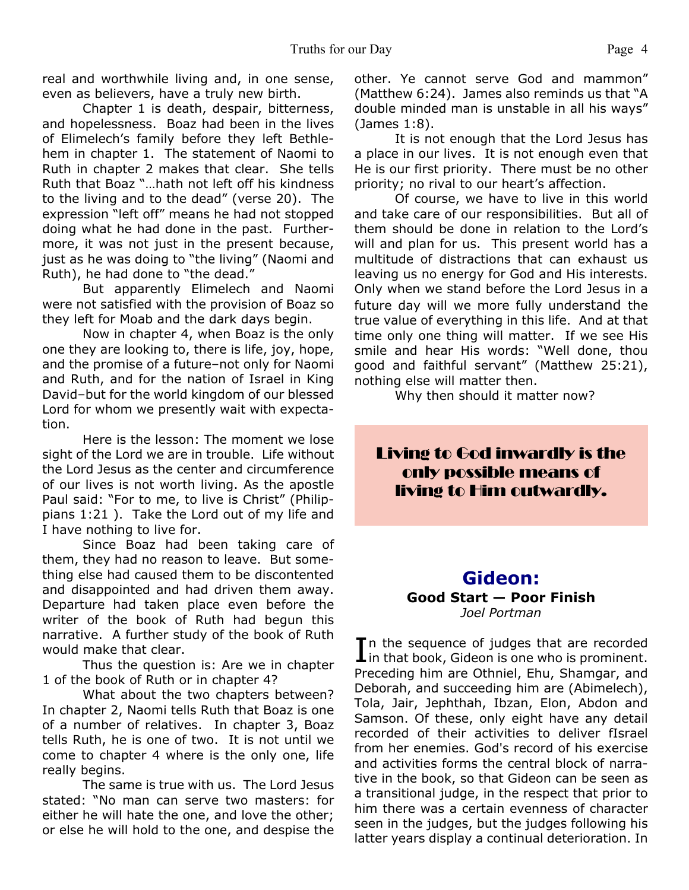real and worthwhile living and, in one sense, even as believers, have a truly new birth.

 Chapter 1 is death, despair, bitterness, and hopelessness. Boaz had been in the lives of Elimelech's family before they left Bethlehem in chapter 1. The statement of Naomi to Ruth in chapter 2 makes that clear. She tells Ruth that Boaz "…hath not left off his kindness to the living and to the dead" (verse 20). The expression "left off" means he had not stopped doing what he had done in the past. Furthermore, it was not just in the present because, just as he was doing to "the living" (Naomi and Ruth), he had done to "the dead."

 But apparently Elimelech and Naomi were not satisfied with the provision of Boaz so they left for Moab and the dark days begin.

 Now in chapter 4, when Boaz is the only one they are looking to, there is life, joy, hope, and the promise of a future–not only for Naomi and Ruth, and for the nation of Israel in King David–but for the world kingdom of our blessed Lord for whom we presently wait with expectation.

 Here is the lesson: The moment we lose sight of the Lord we are in trouble. Life without the Lord Jesus as the center and circumference of our lives is not worth living. As the apostle Paul said: "For to me, to live is Christ" (Philippians 1:21 ). Take the Lord out of my life and I have nothing to live for.

 Since Boaz had been taking care of them, they had no reason to leave. But something else had caused them to be discontented and disappointed and had driven them away. Departure had taken place even before the writer of the book of Ruth had begun this narrative. A further study of the book of Ruth would make that clear.

 Thus the question is: Are we in chapter 1 of the book of Ruth or in chapter 4?

 What about the two chapters between? In chapter 2, Naomi tells Ruth that Boaz is one of a number of relatives. In chapter 3, Boaz tells Ruth, he is one of two. It is not until we come to chapter 4 where is the only one, life really begins.

 The same is true with us. The Lord Jesus stated: "No man can serve two masters: for either he will hate the one, and love the other; or else he will hold to the one, and despise the other. Ye cannot serve God and mammon" (Matthew 6:24). James also reminds us that "A double minded man is unstable in all his ways" (James 1:8).

 It is not enough that the Lord Jesus has a place in our lives. It is not enough even that He is our first priority. There must be no other priority; no rival to our heart's affection.

 Of course, we have to live in this world and take care of our responsibilities. But all of them should be done in relation to the Lord's will and plan for us. This present world has a multitude of distractions that can exhaust us leaving us no energy for God and His interests. Only when we stand before the Lord Jesus in a future day will we more fully understand the true value of everything in this life. And at that time only one thing will matter. If we see His smile and hear His words: "Well done, thou good and faithful servant" (Matthew 25:21), nothing else will matter then.

Why then should it matter now?

Living to God inwardly is the only possible means of living to Him outwardly.

## **Gideon: Good Start — Poor Finish** *Joel Portman*

In the sequence of judges that are recorded<br>in that book, Gideon is one who is prominent. In the sequence of judges that are recorded Preceding him are Othniel, Ehu, Shamgar, and Deborah, and succeeding him are (Abimelech), Tola, Jair, Jephthah, Ibzan, Elon, Abdon and Samson. Of these, only eight have any detail recorded of their activities to deliver fIsrael from her enemies. God's record of his exercise and activities forms the central block of narrative in the book, so that Gideon can be seen as a transitional judge, in the respect that prior to him there was a certain evenness of character seen in the judges, but the judges following his latter years display a continual deterioration. In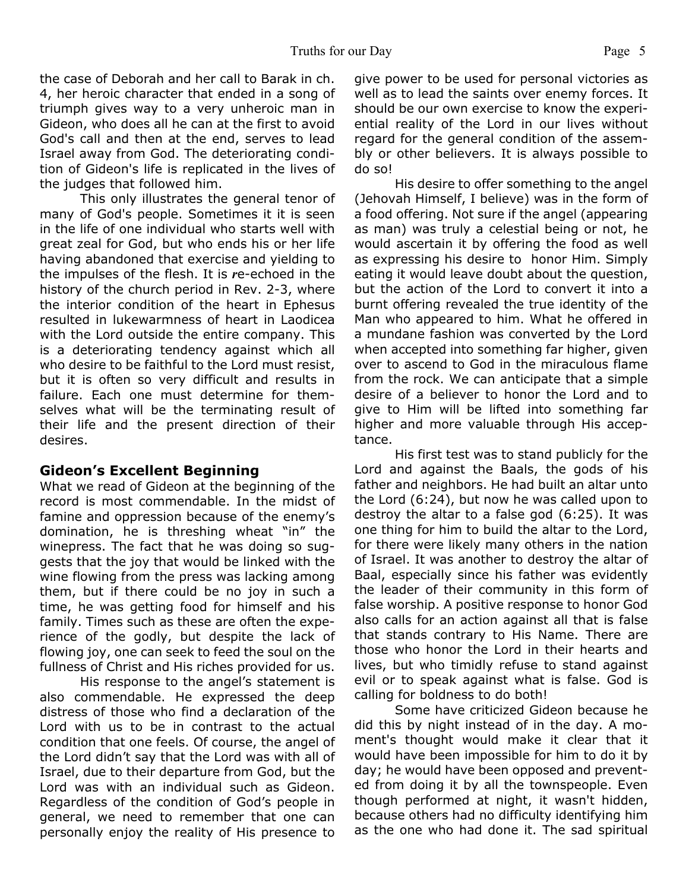the case of Deborah and her call to Barak in ch. 4, her heroic character that ended in a song of triumph gives way to a very unheroic man in Gideon, who does all he can at the first to avoid God's call and then at the end, serves to lead Israel away from God. The deteriorating condition of Gideon's life is replicated in the lives of the judges that followed him.

 This only illustrates the general tenor of many of God's people. Sometimes it it is seen in the life of one individual who starts well with great zeal for God, but who ends his or her life having abandoned that exercise and yielding to the impulses of the flesh. It is *r*e-echoed in the history of the church period in Rev. 2-3, where the interior condition of the heart in Ephesus resulted in lukewarmness of heart in Laodicea with the Lord outside the entire company. This is a deteriorating tendency against which all who desire to be faithful to the Lord must resist, but it is often so very difficult and results in failure. Each one must determine for themselves what will be the terminating result of their life and the present direction of their desires.

#### **Gideon's Excellent Beginning**

What we read of Gideon at the beginning of the record is most commendable. In the midst of famine and oppression because of the enemy's domination, he is threshing wheat "in" the winepress. The fact that he was doing so suggests that the joy that would be linked with the wine flowing from the press was lacking among them, but if there could be no joy in such a time, he was getting food for himself and his family. Times such as these are often the experience of the godly, but despite the lack of flowing joy, one can seek to feed the soul on the fullness of Christ and His riches provided for us.

 His response to the angel's statement is also commendable. He expressed the deep distress of those who find a declaration of the Lord with us to be in contrast to the actual condition that one feels. Of course, the angel of the Lord didn't say that the Lord was with all of Israel, due to their departure from God, but the Lord was with an individual such as Gideon. Regardless of the condition of God's people in general, we need to remember that one can personally enjoy the reality of His presence to give power to be used for personal victories as well as to lead the saints over enemy forces. It should be our own exercise to know the experiential reality of the Lord in our lives without regard for the general condition of the assembly or other believers. It is always possible to do so!

 His desire to offer something to the angel (Jehovah Himself, I believe) was in the form of a food offering. Not sure if the angel (appearing as man) was truly a celestial being or not, he would ascertain it by offering the food as well as expressing his desire to honor Him. Simply eating it would leave doubt about the question, but the action of the Lord to convert it into a burnt offering revealed the true identity of the Man who appeared to him. What he offered in a mundane fashion was converted by the Lord when accepted into something far higher, given over to ascend to God in the miraculous flame from the rock. We can anticipate that a simple desire of a believer to honor the Lord and to give to Him will be lifted into something far higher and more valuable through His acceptance.

 His first test was to stand publicly for the Lord and against the Baals, the gods of his father and neighbors. He had built an altar unto the Lord (6:24), but now he was called upon to destroy the altar to a false god (6:25). It was one thing for him to build the altar to the Lord, for there were likely many others in the nation of Israel. It was another to destroy the altar of Baal, especially since his father was evidently the leader of their community in this form of false worship. A positive response to honor God also calls for an action against all that is false that stands contrary to His Name. There are those who honor the Lord in their hearts and lives, but who timidly refuse to stand against evil or to speak against what is false. God is calling for boldness to do both!

 Some have criticized Gideon because he did this by night instead of in the day. A moment's thought would make it clear that it would have been impossible for him to do it by day; he would have been opposed and prevented from doing it by all the townspeople. Even though performed at night, it wasn't hidden, because others had no difficulty identifying him as the one who had done it. The sad spiritual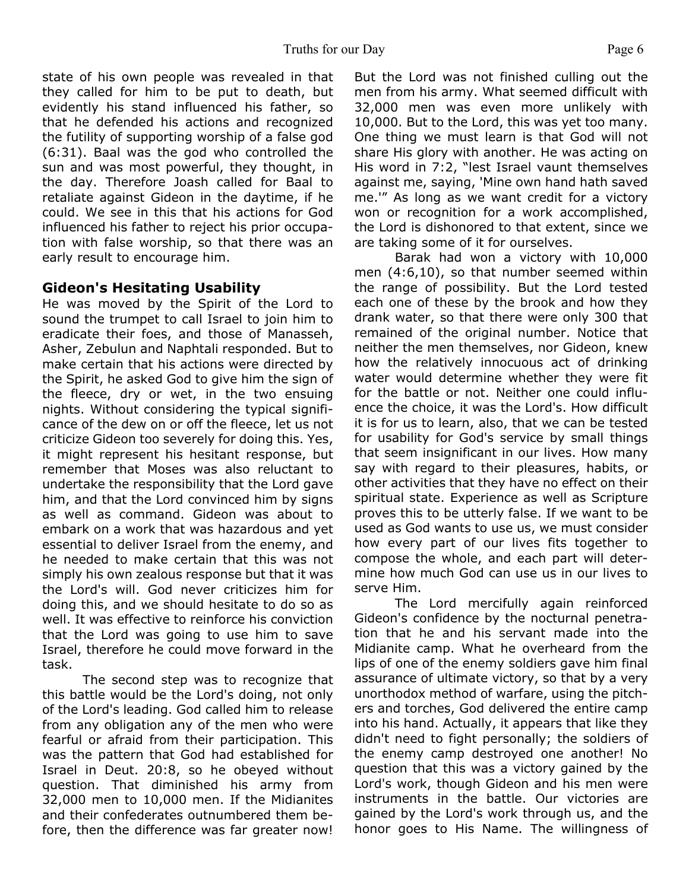state of his own people was revealed in that they called for him to be put to death, but evidently his stand influenced his father, so that he defended his actions and recognized the futility of supporting worship of a false god (6:31). Baal was the god who controlled the sun and was most powerful, they thought, in the day. Therefore Joash called for Baal to retaliate against Gideon in the daytime, if he could. We see in this that his actions for God influenced his father to reject his prior occupation with false worship, so that there was an early result to encourage him.

#### **Gideon's Hesitating Usability**

He was moved by the Spirit of the Lord to sound the trumpet to call Israel to join him to eradicate their foes, and those of Manasseh, Asher, Zebulun and Naphtali responded. But to make certain that his actions were directed by the Spirit, he asked God to give him the sign of the fleece, dry or wet, in the two ensuing nights. Without considering the typical significance of the dew on or off the fleece, let us not criticize Gideon too severely for doing this. Yes, it might represent his hesitant response, but remember that Moses was also reluctant to undertake the responsibility that the Lord gave him, and that the Lord convinced him by signs as well as command. Gideon was about to embark on a work that was hazardous and yet essential to deliver Israel from the enemy, and he needed to make certain that this was not simply his own zealous response but that it was the Lord's will. God never criticizes him for doing this, and we should hesitate to do so as well. It was effective to reinforce his conviction that the Lord was going to use him to save Israel, therefore he could move forward in the task.

 The second step was to recognize that this battle would be the Lord's doing, not only of the Lord's leading. God called him to release from any obligation any of the men who were fearful or afraid from their participation. This was the pattern that God had established for Israel in Deut. 20:8, so he obeyed without question. That diminished his army from 32,000 men to 10,000 men. If the Midianites and their confederates outnumbered them before, then the difference was far greater now!

But the Lord was not finished culling out the men from his army. What seemed difficult with 32,000 men was even more unlikely with 10,000. But to the Lord, this was yet too many. One thing we must learn is that God will not share His glory with another. He was acting on His word in 7:2, "lest Israel vaunt themselves against me, saying, 'Mine own hand hath saved me.'" As long as we want credit for a victory won or recognition for a work accomplished, the Lord is dishonored to that extent, since we are taking some of it for ourselves.

 Barak had won a victory with 10,000 men (4:6,10), so that number seemed within the range of possibility. But the Lord tested each one of these by the brook and how they drank water, so that there were only 300 that remained of the original number. Notice that neither the men themselves, nor Gideon, knew how the relatively innocuous act of drinking water would determine whether they were fit for the battle or not. Neither one could influence the choice, it was the Lord's. How difficult it is for us to learn, also, that we can be tested for usability for God's service by small things that seem insignificant in our lives. How many say with regard to their pleasures, habits, or other activities that they have no effect on their spiritual state. Experience as well as Scripture proves this to be utterly false. If we want to be used as God wants to use us, we must consider how every part of our lives fits together to compose the whole, and each part will determine how much God can use us in our lives to serve Him.

 The Lord mercifully again reinforced Gideon's confidence by the nocturnal penetration that he and his servant made into the Midianite camp. What he overheard from the lips of one of the enemy soldiers gave him final assurance of ultimate victory, so that by a very unorthodox method of warfare, using the pitchers and torches, God delivered the entire camp into his hand. Actually, it appears that like they didn't need to fight personally; the soldiers of the enemy camp destroyed one another! No question that this was a victory gained by the Lord's work, though Gideon and his men were instruments in the battle. Our victories are gained by the Lord's work through us, and the honor goes to His Name. The willingness of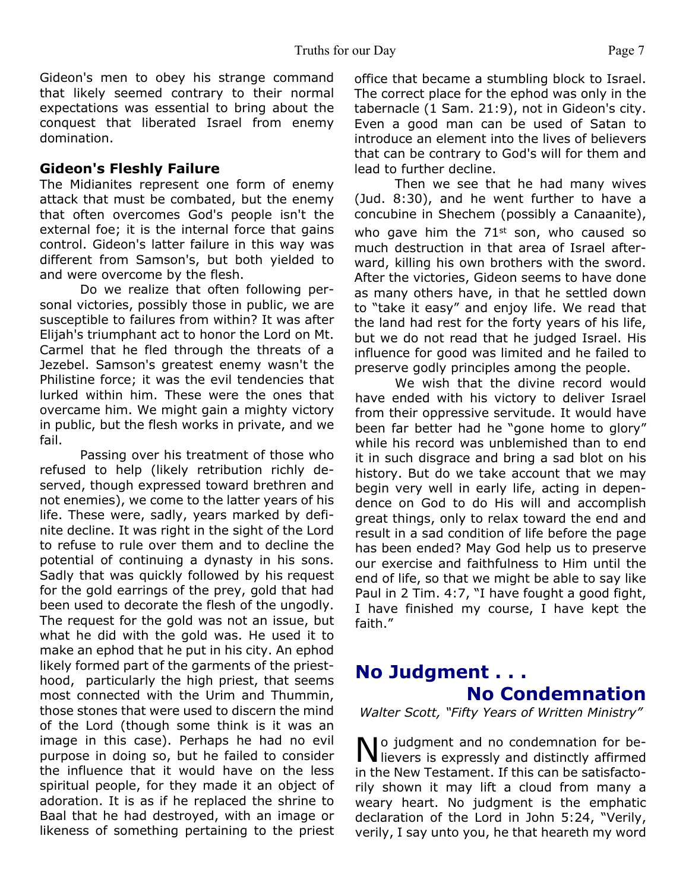Gideon's men to obey his strange command that likely seemed contrary to their normal expectations was essential to bring about the conquest that liberated Israel from enemy domination.

#### **Gideon's Fleshly Failure**

The Midianites represent one form of enemy attack that must be combated, but the enemy that often overcomes God's people isn't the external foe; it is the internal force that gains control. Gideon's latter failure in this way was different from Samson's, but both yielded to and were overcome by the flesh.

 Do we realize that often following personal victories, possibly those in public, we are susceptible to failures from within? It was after Elijah's triumphant act to honor the Lord on Mt. Carmel that he fled through the threats of a Jezebel. Samson's greatest enemy wasn't the Philistine force; it was the evil tendencies that lurked within him. These were the ones that overcame him. We might gain a mighty victory in public, but the flesh works in private, and we fail.

 Passing over his treatment of those who refused to help (likely retribution richly deserved, though expressed toward brethren and not enemies), we come to the latter years of his life. These were, sadly, years marked by definite decline. It was right in the sight of the Lord to refuse to rule over them and to decline the potential of continuing a dynasty in his sons. Sadly that was quickly followed by his request for the gold earrings of the prey, gold that had been used to decorate the flesh of the ungodly. The request for the gold was not an issue, but what he did with the gold was. He used it to make an ephod that he put in his city. An ephod likely formed part of the garments of the priesthood, particularly the high priest, that seems most connected with the Urim and Thummin, those stones that were used to discern the mind of the Lord (though some think is it was an image in this case). Perhaps he had no evil purpose in doing so, but he failed to consider the influence that it would have on the less spiritual people, for they made it an object of adoration. It is as if he replaced the shrine to Baal that he had destroyed, with an image or likeness of something pertaining to the priest office that became a stumbling block to Israel. The correct place for the ephod was only in the tabernacle (1 Sam. 21:9), not in Gideon's city. Even a good man can be used of Satan to introduce an element into the lives of believers that can be contrary to God's will for them and lead to further decline.

 Then we see that he had many wives (Jud. 8:30), and he went further to have a concubine in Shechem (possibly a Canaanite), who gave him the  $71<sup>st</sup>$  son, who caused so much destruction in that area of Israel afterward, killing his own brothers with the sword. After the victories, Gideon seems to have done as many others have, in that he settled down to "take it easy" and enjoy life. We read that the land had rest for the forty years of his life, but we do not read that he judged Israel. His influence for good was limited and he failed to preserve godly principles among the people.

 We wish that the divine record would have ended with his victory to deliver Israel from their oppressive servitude. It would have been far better had he "gone home to glory" while his record was unblemished than to end it in such disgrace and bring a sad blot on his history. But do we take account that we may begin very well in early life, acting in dependence on God to do His will and accomplish great things, only to relax toward the end and result in a sad condition of life before the page has been ended? May God help us to preserve our exercise and faithfulness to Him until the end of life, so that we might be able to say like Paul in 2 Tim. 4:7, "I have fought a good fight, I have finished my course, I have kept the faith."

# **No Judgment . . . No Condemnation**

*Walter Scott, "Fifty Years of Written Ministry"*

No judgment and no condemnation for be-<br>lievers is expressly and distinctly affirmed No judgment and no condemnation for bein the New Testament. If this can be satisfactorily shown it may lift a cloud from many a weary heart. No judgment is the emphatic declaration of the Lord in John 5:24, "Verily, verily, I say unto you, he that heareth my word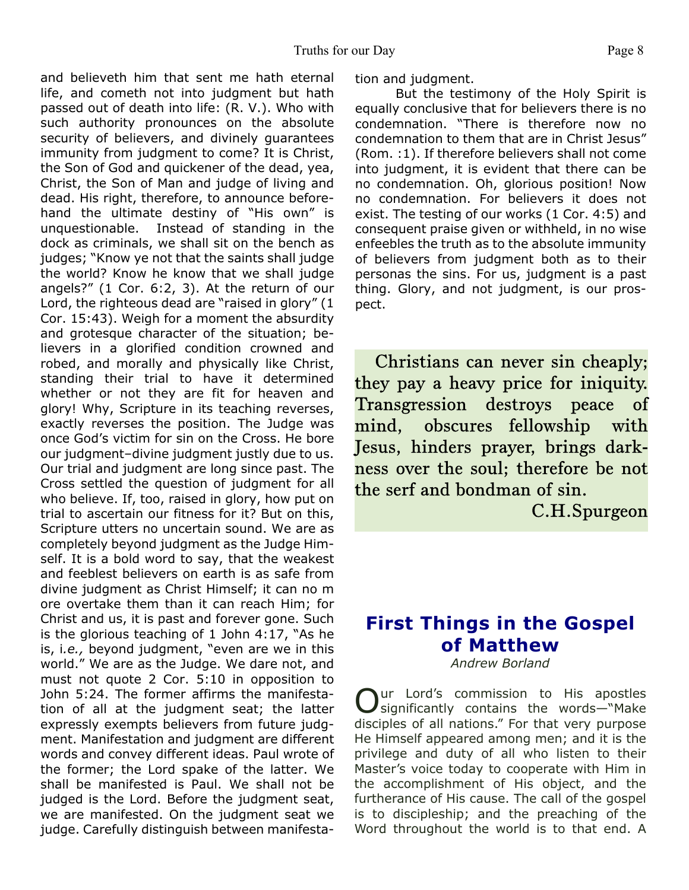and believeth him that sent me hath eternal life, and cometh not into judgment but hath passed out of death into life: (R. V.). Who with such authority pronounces on the absolute security of believers, and divinely guarantees immunity from judgment to come? It is Christ, the Son of God and quickener of the dead, yea, Christ, the Son of Man and judge of living and dead. His right, therefore, to announce beforehand the ultimate destiny of "His own" is unquestionable. Instead of standing in the dock as criminals, we shall sit on the bench as judges; "Know ye not that the saints shall judge the world? Know he know that we shall judge angels?" (1 Cor. 6:2, 3). At the return of our Lord, the righteous dead are "raised in glory" (1 Cor. 15:43). Weigh for a moment the absurdity and grotesque character of the situation; believers in a glorified condition crowned and robed, and morally and physically like Christ, standing their trial to have it determined whether or not they are fit for heaven and glory! Why, Scripture in its teaching reverses, exactly reverses the position. The Judge was once God's victim for sin on the Cross. He bore our judgment–divine judgment justly due to us. Our trial and judgment are long since past. The Cross settled the question of judgment for all who believe. If, too, raised in glory, how put on trial to ascertain our fitness for it? But on this, Scripture utters no uncertain sound. We are as completely beyond judgment as the Judge Himself. It is a bold word to say, that the weakest and feeblest believers on earth is as safe from divine judgment as Christ Himself; it can no m ore overtake them than it can reach Him; for Christ and us, it is past and forever gone. Such is the glorious teaching of 1 John 4:17, "As he is, i*.e.,* beyond judgment, "even are we in this world." We are as the Judge. We dare not, and must not quote 2 Cor. 5:10 in opposition to John 5:24. The former affirms the manifestation of all at the judgment seat; the latter expressly exempts believers from future judgment. Manifestation and judgment are different words and convey different ideas. Paul wrote of the former; the Lord spake of the latter. We shall be manifested is Paul. We shall not be judged is the Lord. Before the judgment seat, we are manifested. On the judgment seat we judge. Carefully distinguish between manifestation and judgment.

But the testimony of the Holy Spirit is equally conclusive that for believers there is no condemnation. "There is therefore now no condemnation to them that are in Christ Jesus" (Rom. :1). If therefore believers shall not come into judgment, it is evident that there can be no condemnation. Oh, glorious position! Now no condemnation. For believers it does not exist. The testing of our works (1 Cor. 4:5) and consequent praise given or withheld, in no wise enfeebles the truth as to the absolute immunity of believers from judgment both as to their personas the sins. For us, judgment is a past thing. Glory, and not judgment, is our prospect.

Christians can never sin cheaply; they pay a heavy price for iniquity. Transgression destroys peace of mind, obscures fellowship with Jesus, hinders prayer, brings darkness over the soul; therefore be not the serf and bondman of sin.

C.H.Spurgeon

# **First Things in the Gospel of Matthew**

*Andrew Borland*

O ur Lord's commission to His apostles significantly contains the words—"Make disciples of all nations." For that very purpose He Himself appeared among men; and it is the privilege and duty of all who listen to their Master's voice today to cooperate with Him in the accomplishment of His object, and the furtherance of His cause. The call of the gospel is to discipleship; and the preaching of the Word throughout the world is to that end. A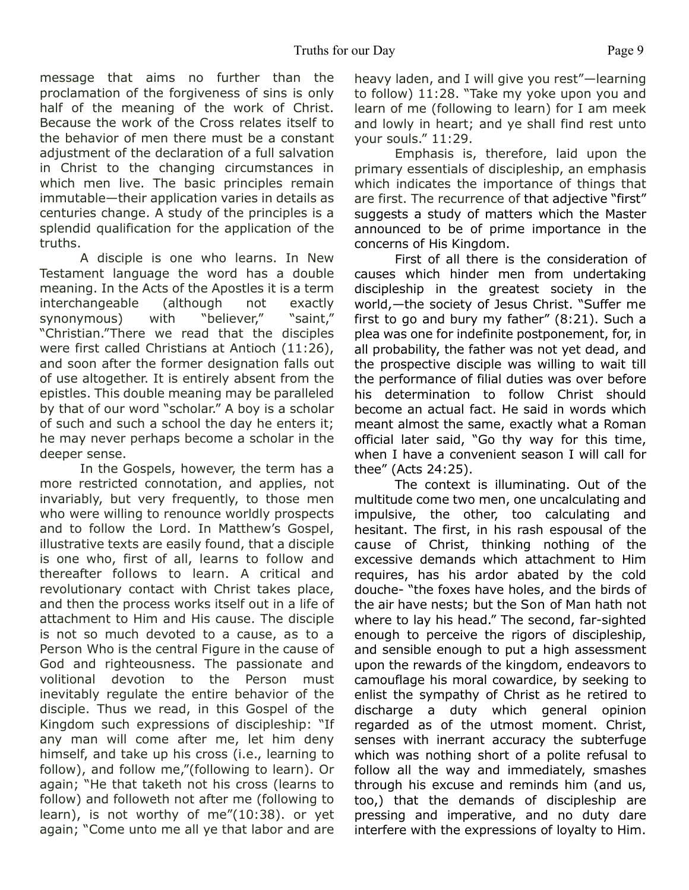message that aims no further than the proclamation of the forgiveness of sins is only half of the meaning of the work of Christ. Because the work of the Cross relates itself to the behavior of men there must be a constant adjustment of the declaration of a full salvation in Christ to the changing circumstances in which men live. The basic principles remain immutable—their application varies in details as centuries change. A study of the principles is a splendid qualification for the application of the truths.

 A disciple is one who learns. In New Testament language the word has a double meaning. In the Acts of the Apostles it is a term interchangeable (although not exactly synonymous) with "believer," "saint," "Christian."There we read that the disciples were first called Christians at Antioch (11:26), and soon after the former designation falls out of use altogether. It is entirely absent from the epistles. This double meaning may be paralleled by that of our word "scholar." A boy is a scholar of such and such a school the day he enters it; he may never perhaps become a scholar in the deeper sense.

 In the Gospels, however, the term has a more restricted connotation, and applies, not invariably, but very frequently, to those men who were willing to renounce worldly prospects and to follow the Lord. In Matthew's Gospel, illustrative texts are easily found, that a disciple is one who, first of all, learns to follow and thereafter follows to learn. A critical and revolutionary contact with Christ takes place, and then the process works itself out in a life of attachment to Him and His cause. The disciple is not so much devoted to a cause, as to a Person Who is the central Figure in the cause of God and righteousness. The passionate and volitional devotion to the Person must inevitably regulate the entire behavior of the disciple. Thus we read, in this Gospel of the Kingdom such expressions of discipleship: "If any man will come after me, let him deny himself, and take up his cross (i.e., learning to follow), and follow me,"(following to learn). Or again; "He that taketh not his cross (learns to follow) and followeth not after me (following to learn), is not worthy of me"(10:38). or yet again; "Come unto me all ye that labor and are

heavy laden, and I will give you rest"—learning to follow) 11:28. "Take my yoke upon you and learn of me (following to learn) for I am meek and lowly in heart; and ye shall find rest unto your souls." 11:29.

 Emphasis is, therefore, laid upon the primary essentials of discipleship, an emphasis which indicates the importance of things that are first. The recurrence of that adjective "first" suggests a study of matters which the Master announced to be of prime importance in the concerns of His Kingdom.

 First of all there is the consideration of causes which hinder men from undertaking discipleship in the greatest society in the world,—the society of Jesus Christ. "Suffer me first to go and bury my father" (8:21). Such a plea was one for indefinite postponement, for, in all probability, the father was not yet dead, and the prospective disciple was willing to wait till the performance of filial duties was over before his determination to follow Christ should become an actual fact. He said in words which meant almost the same, exactly what a Roman official later said, "Go thy way for this time, when I have a convenient season I will call for thee" (Acts 24:25).

 The context is illuminating. Out of the multitude come two men, one uncalculating and impulsive, the other, too calculating and hesitant. The first, in his rash espousal of the cause of Christ, thinking nothing of the excessive demands which attachment to Him requires, has his ardor abated by the cold douche- "the foxes have holes, and the birds of the air have nests; but the Son of Man hath not where to lay his head." The second, far-sighted enough to perceive the rigors of discipleship, and sensible enough to put a high assessment upon the rewards of the kingdom, endeavors to camouflage his moral cowardice, by seeking to enlist the sympathy of Christ as he retired to discharge a duty which general opinion regarded as of the utmost moment. Christ, senses with inerrant accuracy the subterfuge which was nothing short of a polite refusal to follow all the way and immediately, smashes through his excuse and reminds him (and us, too,) that the demands of discipleship are pressing and imperative, and no duty dare interfere with the expressions of loyalty to Him.